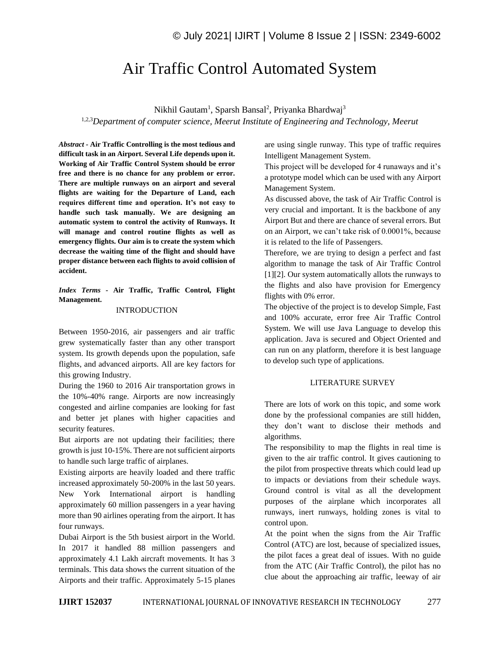# Air Traffic Control Automated System

Nikhil Gautam<sup>1</sup>, Sparsh Bansal<sup>2</sup>, Priyanka Bhardwaj<sup>3</sup>

1,2,3*Department of computer science, Meerut Institute of Engineering and Technology, Meerut*

*Abstract -* **Air Traffic Controlling is the most tedious and difficult task in an Airport. Several Life depends upon it. Working of Air Traffic Control System should be error free and there is no chance for any problem or error. There are multiple runways on an airport and several flights are waiting for the Departure of Land, each requires different time and operation. It's not easy to handle such task manually. We are designing an automatic system to control the activity of Runways. It will manage and control routine flights as well as emergency flights. Our aim is to create the system which decrease the waiting time of the flight and should have proper distance between each flights to avoid collision of accident.**

*Index Terms -* **Air Traffic, Traffic Control, Flight Management.**

### INTRODUCTION

Between 1950-2016, air passengers and air traffic grew systematically faster than any other transport system. Its growth depends upon the population, safe flights, and advanced airports. All are key factors for this growing Industry.

During the 1960 to 2016 Air transportation grows in the 10%-40% range. Airports are now increasingly congested and airline companies are looking for fast and better jet planes with higher capacities and security features.

But airports are not updating their facilities; there growth is just 10-15%. There are not sufficient airports to handle such large traffic of airplanes.

Existing airports are heavily loaded and there traffic increased approximately 50-200% in the last 50 years. New York International airport is handling approximately 60 million passengers in a year having more than 90 airlines operating from the airport. It has four runways.

Dubai Airport is the 5th busiest airport in the World. In 2017 it handled 88 million passengers and approximately 4.1 Lakh aircraft movements. It has 3 terminals. This data shows the current situation of the Airports and their traffic. Approximately 5-15 planes are using single runway. This type of traffic requires Intelligent Management System.

This project will be developed for 4 runaways and it's a prototype model which can be used with any Airport Management System.

As discussed above, the task of Air Traffic Control is very crucial and important. It is the backbone of any Airport But and there are chance of several errors. But on an Airport, we can't take risk of 0.0001%, because it is related to the life of Passengers.

Therefore, we are trying to design a perfect and fast algorithm to manage the task of Air Traffic Control [1][2]. Our system automatically allots the runways to the flights and also have provision for Emergency flights with 0% error.

The objective of the project is to develop Simple, Fast and 100% accurate, error free Air Traffic Control System. We will use Java Language to develop this application. Java is secured and Object Oriented and can run on any platform, therefore it is best language to develop such type of applications.

### LITERATURE SURVEY

There are lots of work on this topic, and some work done by the professional companies are still hidden, they don't want to disclose their methods and algorithms.

The responsibility to map the flights in real time is given to the air traffic control. It gives cautioning to the pilot from prospective threats which could lead up to impacts or deviations from their schedule ways. Ground control is vital as all the development purposes of the airplane which incorporates all runways, inert runways, holding zones is vital to control upon.

At the point when the signs from the Air Traffic Control (ATC) are lost, because of specialized issues, the pilot faces a great deal of issues. With no guide from the ATC (Air Traffic Control), the pilot has no clue about the approaching air traffic, leeway of air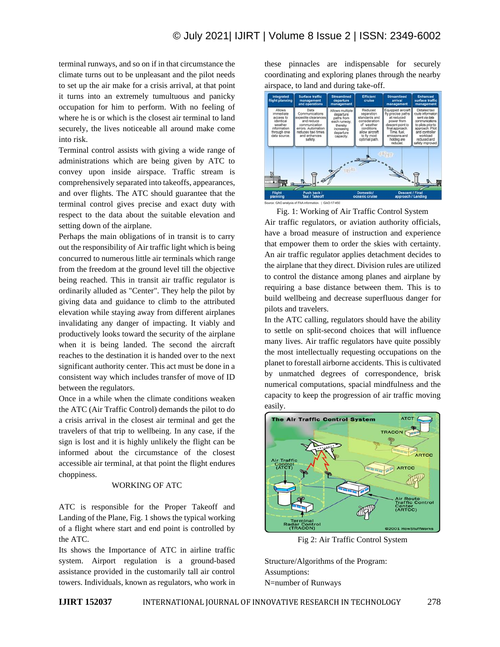terminal runways, and so on if in that circumstance the climate turns out to be unpleasant and the pilot needs to set up the air make for a crisis arrival, at that point it turns into an extremely tumultuous and panicky occupation for him to perform. With no feeling of where he is or which is the closest air terminal to land securely, the lives noticeable all around make come into risk.

Terminal control assists with giving a wide range of administrations which are being given by ATC to convey upon inside airspace. Traffic stream is comprehensively separated into takeoffs, appearances, and over flights. The ATC should guarantee that the terminal control gives precise and exact duty with respect to the data about the suitable elevation and setting down of the airplane.

Perhaps the main obligations of in transit is to carry out the responsibility of Air traffic light which is being concurred to numerous little air terminals which range from the freedom at the ground level till the objective being reached. This in transit air traffic regulator is ordinarily alluded as "Center". They help the pilot by giving data and guidance to climb to the attributed elevation while staying away from different airplanes invalidating any danger of impacting. It viably and productively looks toward the security of the airplane when it is being landed. The second the aircraft reaches to the destination it is handed over to the next significant authority center. This act must be done in a consistent way which includes transfer of move of ID between the regulators.

Once in a while when the climate conditions weaken the ATC (Air Traffic Control) demands the pilot to do a crisis arrival in the closest air terminal and get the travelers of that trip to wellbeing. In any case, if the sign is lost and it is highly unlikely the flight can be informed about the circumstance of the closest accessible air terminal, at that point the flight endures choppiness.

### WORKING OF ATC

ATC is responsible for the Proper Takeoff and Landing of the Plane, Fig. 1 shows the typical working of a flight where start and end point is controlled by the ATC.

Its shows the Importance of ATC in airline traffic system. Airport regulation is a ground-based assistance provided in the customarily tall air control towers. Individuals, known as regulators, who work in these pinnacles are indispensable for securely coordinating and exploring planes through the nearby airspace, to land and during take-off.



Fig. 1: Working of Air Traffic Control System

Air traffic regulators, or aviation authority officials, have a broad measure of instruction and experience that empower them to order the skies with certainty. An air traffic regulator applies detachment decides to the airplane that they direct. Division rules are utilized to control the distance among planes and airplane by requiring a base distance between them. This is to build wellbeing and decrease superfluous danger for pilots and travelers.

In the ATC calling, regulators should have the ability to settle on split-second choices that will influence many lives. Air traffic regulators have quite possibly the most intellectually requesting occupations on the planet to forestall airborne accidents. This is cultivated by unmatched degrees of correspondence, brisk numerical computations, spacial mindfulness and the capacity to keep the progression of air traffic moving easily.



Fig 2: Air Traffic Control System

Structure/Algorithms of the Program: Assumptions: N=number of Runways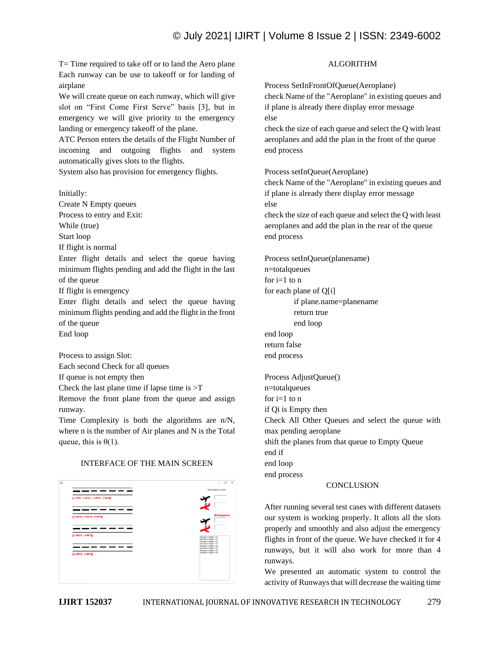## © July 2021| IJIRT | Volume 8 Issue 2 | ISSN: 2349-6002

T= Time required to take off or to land the Aero plane Each runway can be use to takeoff or for landing of airplane

We will create queue on each runway, which will give slot on "First Come First Serve" basis [3], but in emergency we will give priority to the emergency landing or emergency takeoff of the plane.

ATC Person enters the details of the Flight Number of incoming and outgoing flights and system automatically gives slots to the flights.

System also has provision for emergency flights.

Initially: Create N Empty queues Process to entry and Exit: While (true) Start loop If flight is normal Enter flight details and select the queue having minimum flights pending and add the flight in the last of the queue If flight is emergency Enter flight details and select the queue having minimum flights pending and add the flight in the front of the queue End loop

Process to assign Slot: Each second Check for all queues

If queue is not empty then

Check the last plane time if lapse time is  $\geq$ T

Remove the front plane from the queue and assign runway.

Time Complexity is both the algorithms are n/N, where n is the number of Air planes and N is the Total queue, this is  $\theta(1)$ .

### INTERFACE OF THE MAIN SCREEN

|                             | $\circ$<br>$\sim$                                                     |
|-----------------------------|-----------------------------------------------------------------------|
|                             | Safe Distance 15 Unit                                                 |
| [->A9, ->A13, ->A17, ->A18] |                                                                       |
|                             |                                                                       |
|                             | <b>Emergency</b>                                                      |
| [->A10, ->A14, ->A19]       |                                                                       |
|                             |                                                                       |
| $[-5A11, -5A15]$            | Runway 1 Flight-HAS                                                   |
|                             | Runway 2 Flight -- A3<br>Runway 3 Flight -- AS<br>Runway 4 Flight-AA7 |
|                             | Runway 1 Flight -- A2<br>Runway 2 Flight -- AA<br>Runway 3 Flight-AAS |
| $[-8412, -8416]$            | Runway 4 Florid - hall                                                |
|                             |                                                                       |
|                             |                                                                       |
|                             |                                                                       |
|                             |                                                                       |

### ALGORITHM

Process SetInFrontOfQueue(Aeroplane) check Name of the "Aeroplane" in existing queues and if plane is already there display error message else

check the size of each queue and select the Q with least aeroplanes and add the plan in the front of the queue end process

Process setInQueue(Aeroplane)

check Name of the "Aeroplane" in existing queues and if plane is already there display error message else

check the size of each queue and select the Q with least aeroplanes and add the plan in the rear of the queue end process

Process setInQueue(planename) n=totalqueues for  $i=1$  to  $n$ for each plane of Q[i] if plane.name=planename return true end loop end loop return false end process Process AdjustQueue() n=totalqueues for  $i=1$  to  $n$ if Qi is Empty then Check All Other Queues and select the queue with max pending aeroplane

shift the planes from that queue to Empty Queue end if end loop end process

### **CONCLUSION**

After running several test cases with different datasets our system is working properly. It allots all the slots properly and smoothly and also adjust the emergency flights in front of the queue. We have checked it for 4 runways, but it will also work for more than 4 runways.

We presented an automatic system to control the activity of Runways that will decrease the waiting time